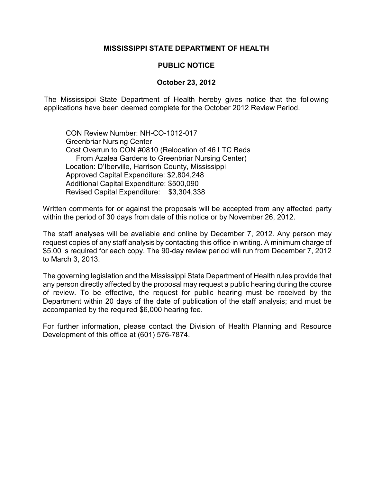## **MISSISSIPPI STATE DEPARTMENT OF HEALTH**

## **PUBLIC NOTICE**

## **October 23, 2012**

The Mississippi State Department of Health hereby gives notice that the following applications have been deemed complete for the October 2012 Review Period.

CON Review Number: NH-CO-1012-017 Greenbriar Nursing Center Cost Overrun to CON #0810 (Relocation of 46 LTC Beds From Azalea Gardens to Greenbriar Nursing Center) Location: D'Iberville, Harrison County, Mississippi Approved Capital Expenditure: \$2,804,248 Additional Capital Expenditure: \$500,090 Revised Capital Expenditure: \$3,304,338

Written comments for or against the proposals will be accepted from any affected party within the period of 30 days from date of this notice or by November 26, 2012.

The staff analyses will be available and online by December 7, 2012. Any person may request copies of any staff analysis by contacting this office in writing. A minimum charge of \$5.00 is required for each copy. The 90-day review period will run from December 7, 2012 to March 3, 2013.

The governing legislation and the Mississippi State Department of Health rules provide that any person directly affected by the proposal may request a public hearing during the course of review. To be effective, the request for public hearing must be received by the Department within 20 days of the date of publication of the staff analysis; and must be accompanied by the required \$6,000 hearing fee.

For further information, please contact the Division of Health Planning and Resource Development of this office at (601) 576-7874.